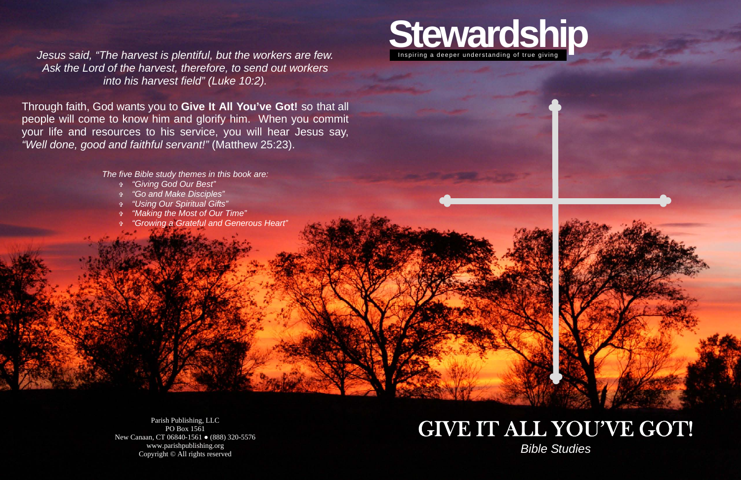

## GIVE IT ALL YOU'VE GOT! *Bible Studies*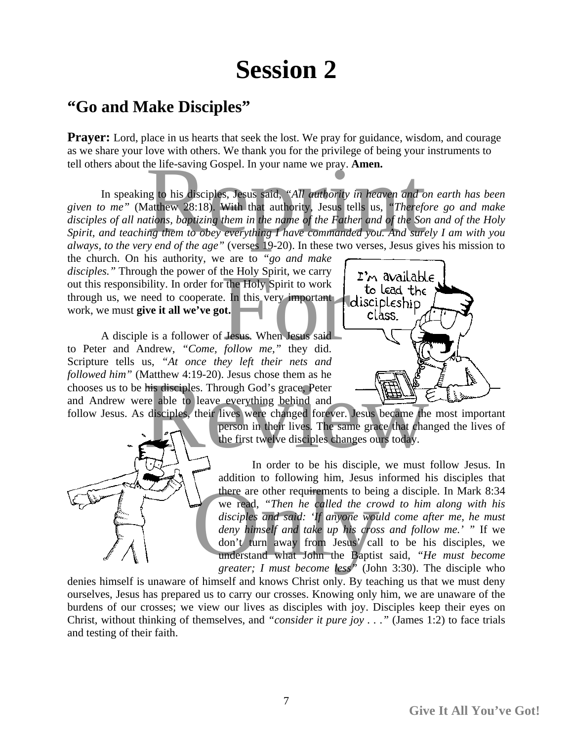## **Session 2**

## **"Go and Make Disciples"**

**Prayer:** Lord, place in us hearts that seek the lost. We pray for guidance, wisdom, and courage as we share your love with others. We thank you for the privilege of being your instruments to tell others about the life-saving Gospel. In your name we pray. **Amen.**

 In speaking to his disciples, Jesus said, *"All authority in heaven and on earth has been given to me"* (Matthew 28:18). With that authority, Jesus tells us, *"Therefore go and make disciples of all nations, baptizing them in the name of the Father and of the Son and of the Holy Spirit, and teaching them to obey everything I have commanded you. And surely I am with you always, to the very end of the age"* (verses 19-20). In these two verses, Jesus gives his mission to he life-saving Gospel. In your name we pray. **Amen.**<br>In this disciples, Jesus said, "All *authority in heaven and on ear*<br>latthew 28:18). With that authority, Jesus tells us, "*Therefore guions, baptizing them in the name* 

the church. On his authority, we are to *"go and make disciples."* Through the power of the Holy Spirit, we carry out this responsibility. In order for the Holy Spirit to work through us, we need to cooperate. In this very important work, we must **give it all we've got.**  the Holy Spirit, we carry<br>
The Holy Spirit to work<br>
Le Line this very important<br>
the Holy Spirit to work<br>
the Lesus contract to the C<br>
Lesus. When Jesus said<br>
follow me," they did.

 A disciple is a follower of Jesus. When Jesus said to Peter and Andrew, *"Come, follow me,"* they did. Scripture tells us, *"At once they left their nets and followed him"* (Matthew 4:19-20). Jesus chose them as he chooses us to be his disciples. Through God's grace, Peter and Andrew were able to leave everything behind and





follow Jesus. As disciples, their lives were changed forever. Jesus became the most important person in their lives. The same grace that changed the lives of the first twelve disciples changes ours today. Matthew 4:19-20). Jesus chose them as he<br>his disciples. Through God's grace, Peter<br>re able to leave everything behind and<br>disciples, their lives were changed forever. Jesus became the mos<br>person in their lives. The same gr

 In order to be his disciple, we must follow Jesus. In addition to following him, Jesus informed his disciples that there are other requirements to being a disciple. In Mark 8:34 we read, *"Then he called the crowd to him along with his disciples and said: 'If anyone would come after me, he must deny himself and take up his cross and follow me.' "* If we don't turn away from Jesus' call to be his disciples, we understand what John the Baptist said, *"He must become greater; I must become less"* (John 3:30). The disciple who there are other requirements to being a<br>we read, "Then he called the crowd t<br>disciples and said: 'If anyone would co<br>deny himself and take up his cross and<br>don't turn away from Jesus' call to<br>understand what John the Bapti

denies himself is unaware of himself and knows Christ only. By teaching us that we must deny ourselves, Jesus has prepared us to carry our crosses. Knowing only him, we are unaware of the burdens of our crosses; we view our lives as disciples with joy. Disciples keep their eyes on Christ, without thinking of themselves, and *"consider it pure joy . . ."* (James 1:2) to face trials and testing of their faith.